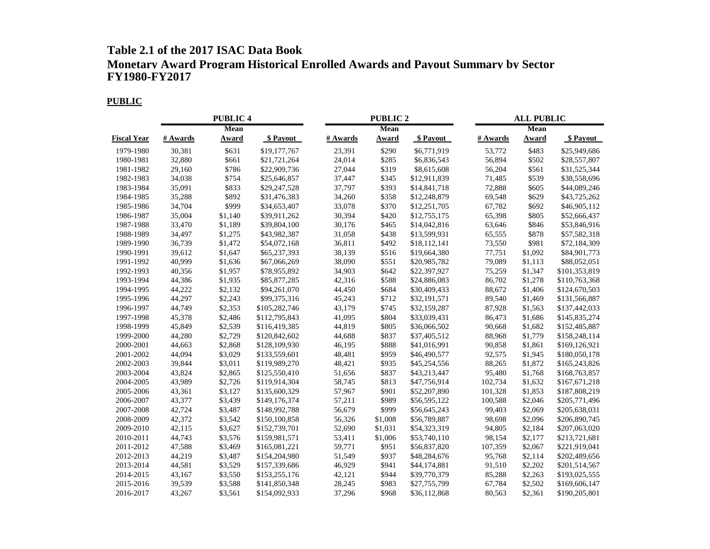# **Table 2.1 of the 2017 ISAC Data Book Monetary Award Program Historical Enrolled Awards and Payout Summary by Sector FY1980-FY2017**

## **PUBLIC**

|                    | <b>PUBLIC 4</b> |             |               |          | <b>PUBLIC 2</b> |              | <b>ALL PUBLIC</b> |             |               |  |
|--------------------|-----------------|-------------|---------------|----------|-----------------|--------------|-------------------|-------------|---------------|--|
|                    |                 | <b>Mean</b> |               |          | <b>Mean</b>     |              |                   | <b>Mean</b> |               |  |
| <b>Fiscal Year</b> | # Awards        | Award       | \$ Payout     | # Awards | Award           | \$ Payout    | # Awards          | Award       | \$ Payout     |  |
| 1979-1980          | 30,381          | \$631       | \$19,177,767  | 23,391   | \$290           | \$6,771,919  | 53,772            | \$483       | \$25,949,686  |  |
| 1980-1981          | 32,880          | \$661       | \$21,721,264  | 24,014   | \$285           | \$6,836,543  | 56,894            | \$502       | \$28,557,807  |  |
| 1981-1982          | 29,160          | \$786       | \$22,909,736  | 27,044   | \$319           | \$8,615,608  | 56,204            | \$561       | \$31,525,344  |  |
| 1982-1983          | 34,038          | \$754       | \$25,646,857  | 37,447   | \$345           | \$12,911,839 | 71,485            | \$539       | \$38,558,696  |  |
| 1983-1984          | 35,091          | \$833       | \$29,247,528  | 37,797   | \$393           | \$14,841,718 | 72,888            | \$605       | \$44,089,246  |  |
| 1984-1985          | 35,288          | \$892       | \$31,476,383  | 34,260   | \$358           | \$12,248,879 | 69,548            | \$629       | \$43,725,262  |  |
| 1985-1986          | 34,704          | \$999       | \$34,653,407  | 33,078   | \$370           | \$12,251,705 | 67,782            | \$692       | \$46,905,112  |  |
| 1986-1987          | 35,004          | \$1,140     | \$39,911,262  | 30,394   | \$420           | \$12,755,175 | 65,398            | \$805       | \$52,666,437  |  |
| 1987-1988          | 33,470          | \$1,189     | \$39,804,100  | 30,176   | \$465           | \$14,042,816 | 63,646            | \$846       | \$53,846,916  |  |
| 1988-1989          | 34,497          | \$1,275     | \$43,982,387  | 31,058   | \$438           | \$13,599,931 | 65,555            | \$878       | \$57,582,318  |  |
| 1989-1990          | 36,739          | \$1,472     | \$54,072,168  | 36,811   | \$492           | \$18,112,141 | 73,550            | \$981       | \$72,184,309  |  |
| 1990-1991          | 39,612          | \$1,647     | \$65,237,393  | 38,139   | \$516           | \$19,664,380 | 77,751            | \$1,092     | \$84,901,773  |  |
| 1991-1992          | 40,999          | \$1,636     | \$67,066,269  | 38,090   | \$551           | \$20,985,782 | 79,089            | \$1,113     | \$88,052,051  |  |
| 1992-1993          | 40,356          | \$1,957     | \$78,955,892  | 34,903   | \$642           | \$22,397,927 | 75,259            | \$1,347     | \$101,353,819 |  |
| 1993-1994          | 44,386          | \$1,935     | \$85,877,285  | 42,316   | \$588           | \$24,886,083 | 86,702            | \$1,278     | \$110,763,368 |  |
| 1994-1995          | 44,222          | \$2,132     | \$94,261,070  | 44,450   | \$684           | \$30,409,433 | 88,672            | \$1,406     | \$124,670,503 |  |
| 1995-1996          | 44,297          | \$2,243     | \$99,375,316  | 45,243   | \$712           | \$32,191,571 | 89,540            | \$1,469     | \$131,566,887 |  |
| 1996-1997          | 44,749          | \$2,353     | \$105,282,746 | 43,179   | \$745           | \$32,159,287 | 87,928            | \$1,563     | \$137,442,033 |  |
| 1997-1998          | 45,378          | \$2,486     | \$112,795,843 | 41,095   | \$804           | \$33,039,431 | 86,473            | \$1,686     | \$145,835,274 |  |
| 1998-1999          | 45,849          | \$2,539     | \$116,419,385 | 44,819   | \$805           | \$36,066,502 | 90,668            | \$1,682     | \$152,485,887 |  |
| 1999-2000          | 44,280          | \$2,729     | \$120,842,602 | 44,688   | \$837           | \$37,405,512 | 88,968            | \$1,779     | \$158,248,114 |  |
| 2000-2001          | 44,663          | \$2,868     | \$128,109,930 | 46,195   | \$888           | \$41,016,991 | 90,858            | \$1,861     | \$169,126,921 |  |
| 2001-2002          | 44,094          | \$3,029     | \$133,559,601 | 48,481   | \$959           | \$46,490,577 | 92,575            | \$1,945     | \$180,050,178 |  |
| 2002-2003          | 39,844          | \$3,011     | \$119,989,270 | 48,421   | \$935           | \$45,254,556 | 88,265            | \$1,872     | \$165,243,826 |  |
| 2003-2004          | 43,824          | \$2,865     | \$125,550,410 | 51,656   | \$837           | \$43,213,447 | 95,480            | \$1,768     | \$168,763,857 |  |
| 2004-2005          | 43,989          | \$2,726     | \$119,914,304 | 58,745   | \$813           | \$47,756,914 | 102,734           | \$1,632     | \$167,671,218 |  |
| 2005-2006          | 43,361          | \$3,127     | \$135,600,329 | 57,967   | \$901           | \$52,207,890 | 101,328           | \$1,853     | \$187,808,219 |  |
| 2006-2007          | 43,377          | \$3,439     | \$149,176,374 | 57,211   | \$989           | \$56,595,122 | 100,588           | \$2,046     | \$205,771,496 |  |
| 2007-2008          | 42,724          | \$3,487     | \$148,992,788 | 56,679   | \$999           | \$56,645,243 | 99,403            | \$2,069     | \$205,638,031 |  |
| 2008-2009          | 42,372          | \$3,542     | \$150,100,858 | 56,326   | \$1,008         | \$56,789,887 | 98,698            | \$2,096     | \$206,890,745 |  |
| 2009-2010          | 42,115          | \$3,627     | \$152,739,701 | 52,690   | \$1,031         | \$54,323,319 | 94,805            | \$2,184     | \$207,063,020 |  |
| 2010-2011          | 44,743          | \$3,576     | \$159,981,571 | 53,411   | \$1,006         | \$53,740,110 | 98,154            | \$2,177     | \$213,721,681 |  |
| 2011-2012          | 47,588          | \$3,469     | \$165,081,221 | 59,771   | \$951           | \$56,837,820 | 107,359           | \$2,067     | \$221,919,041 |  |
| 2012-2013          | 44,219          | \$3,487     | \$154,204,980 | 51,549   | \$937           | \$48,284,676 | 95,768            | \$2,114     | \$202,489,656 |  |
| 2013-2014          | 44,581          | \$3,529     | \$157,339,686 | 46,929   | \$941           | \$44,174,881 | 91,510            | \$2,202     | \$201,514,567 |  |
| 2014-2015          | 43,167          | \$3,550     | \$153,255,176 | 42,121   | \$944           | \$39,770,379 | 85,288            | \$2,263     | \$193,025,555 |  |
| 2015-2016          | 39,539          | \$3,588     | \$141,850,348 | 28,245   | \$983           | \$27,755,799 | 67,784            | \$2,502     | \$169,606,147 |  |
| 2016-2017          | 43,267          | \$3,561     | \$154,092,933 | 37,296   | \$968           | \$36,112,868 | 80,563            | \$2,361     | \$190,205,801 |  |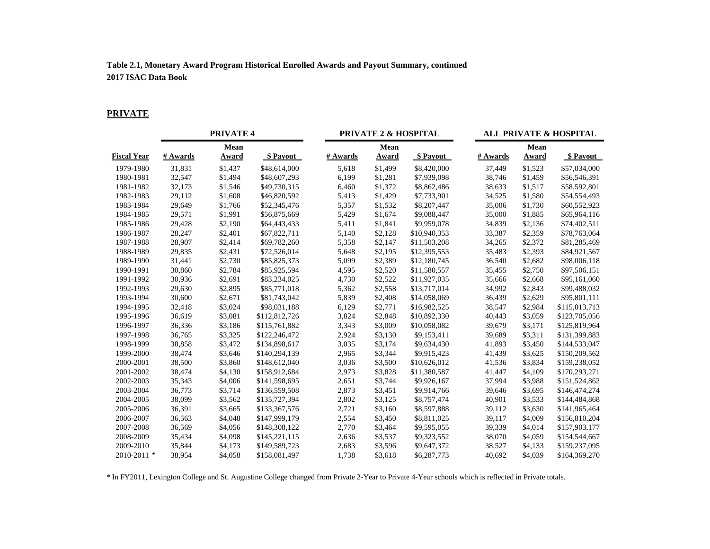### **Table 2.1, Monetary Award Program Historical Enrolled Awards and Payout Summary, continued 2017 ISAC Data Book**

### **PRIVATE**

|                    | <b>PRIVATE 4</b> |                      |               |          | <b>PRIVATE 2 &amp; HOSPITAL</b> |              | <b>ALL PRIVATE &amp; HOSPITAL</b> |               |               |  |
|--------------------|------------------|----------------------|---------------|----------|---------------------------------|--------------|-----------------------------------|---------------|---------------|--|
| <b>Fiscal Year</b> | # Awards         | <b>Mean</b><br>Award | \$ Payout     | # Awards | <b>Mean</b><br>Award            | \$ Payout    | # Awards                          | Mean<br>Award | \$ Payout     |  |
| 1979-1980          | 31,831           | \$1,437              | \$48,614,000  | 5,618    | \$1,499                         | \$8,420,000  | 37,449                            | \$1,523       | \$57,034,000  |  |
| 1980-1981          | 32,547           | \$1,494              | \$48,607,293  | 6,199    | \$1,281                         | \$7,939,098  | 38,746                            | \$1,459       | \$56,546,391  |  |
| 1981-1982          | 32,173           | \$1,546              | \$49,730,315  | 6,460    | \$1,372                         | \$8,862,486  | 38,633                            | \$1,517       | \$58,592,801  |  |
| 1982-1983          | 29,112           | \$1,608              | \$46,820,592  | 5,413    | \$1,429                         | \$7,733,901  | 34,525                            | \$1,580       | \$54,554,493  |  |
| 1983-1984          | 29,649           | \$1,766              | \$52,345,476  | 5,357    | \$1,532                         | \$8,207,447  | 35,006                            | \$1,730       | \$60,552,923  |  |
| 1984-1985          | 29,571           | \$1,991              | \$56,875,669  | 5,429    | \$1,674                         | \$9,088,447  | 35,000                            | \$1,885       | \$65,964,116  |  |
| 1985-1986          | 29,428           | \$2,190              | \$64,443,433  | 5,411    | \$1,841                         | \$9,959,078  | 34,839                            | \$2,136       | \$74,402,511  |  |
| 1986-1987          | 28,247           | \$2,401              | \$67,822,711  | 5,140    | \$2,128                         | \$10,940,353 | 33,387                            | \$2,359       | \$78,763,064  |  |
| 1987-1988          | 28,907           | \$2,414              | \$69,782,260  | 5,358    | \$2,147                         | \$11,503,208 | 34,265                            | \$2,372       | \$81,285,469  |  |
| 1988-1989          | 29,835           | \$2,431              | \$72,526,014  | 5,648    | \$2,195                         | \$12,395,553 | 35,483                            | \$2,393       | \$84,921,567  |  |
| 1989-1990          | 31,441           | \$2,730              | \$85,825,373  | 5,099    | \$2,389                         | \$12,180,745 | 36,540                            | \$2,682       | \$98,006,118  |  |
| 1990-1991          | 30,860           | \$2,784              | \$85,925,594  | 4,595    | \$2,520                         | \$11,580,557 | 35,455                            | \$2,750       | \$97,506,151  |  |
| 1991-1992          | 30,936           | \$2,691              | \$83,234,025  | 4,730    | \$2,522                         | \$11,927,035 | 35,666                            | \$2,668       | \$95,161,060  |  |
| 1992-1993          | 29,630           | \$2,895              | \$85,771,018  | 5,362    | \$2,558                         | \$13,717,014 | 34,992                            | \$2,843       | \$99,488,032  |  |
| 1993-1994          | 30,600           | \$2,671              | \$81,743,042  | 5,839    | \$2,408                         | \$14,058,069 | 36,439                            | \$2,629       | \$95,801,111  |  |
| 1994-1995          | 32,418           | \$3,024              | \$98,031,188  | 6,129    | \$2,771                         | \$16,982,525 | 38,547                            | \$2,984       | \$115,013,713 |  |
| 1995-1996          | 36,619           | \$3,081              | \$112,812,726 | 3,824    | \$2,848                         | \$10,892,330 | 40,443                            | \$3,059       | \$123,705,056 |  |
| 1996-1997          | 36,336           | \$3,186              | \$115,761,882 | 3,343    | \$3,009                         | \$10,058,082 | 39,679                            | \$3,171       | \$125,819,964 |  |
| 1997-1998          | 36,765           | \$3,325              | \$122,246,472 | 2,924    | \$3,130                         | \$9,153,411  | 39,689                            | \$3,311       | \$131,399,883 |  |
| 1998-1999          | 38,858           | \$3,472              | \$134,898,617 | 3,035    | \$3,174                         | \$9,634,430  | 41,893                            | \$3,450       | \$144,533,047 |  |
| 1999-2000          | 38,474           | \$3,646              | \$140,294,139 | 2,965    | \$3,344                         | \$9,915,423  | 41,439                            | \$3,625       | \$150,209,562 |  |
| 2000-2001          | 38,500           | \$3,860              | \$148,612,040 | 3,036    | \$3,500                         | \$10,626,012 | 41,536                            | \$3,834       | \$159,238,052 |  |
| 2001-2002          | 38,474           | \$4,130              | \$158,912,684 | 2,973    | \$3,828                         | \$11,380,587 | 41,447                            | \$4,109       | \$170,293,271 |  |
| 2002-2003          | 35,343           | \$4,006              | \$141,598,695 | 2,651    | \$3,744                         | \$9,926,167  | 37,994                            | \$3,988       | \$151,524,862 |  |
| 2003-2004          | 36,773           | \$3,714              | \$136,559,508 | 2,873    | \$3,451                         | \$9,914,766  | 39,646                            | \$3,695       | \$146,474,274 |  |
| 2004-2005          | 38,099           | \$3,562              | \$135,727,394 | 2,802    | \$3,125                         | \$8,757,474  | 40,901                            | \$3,533       | \$144,484,868 |  |
| 2005-2006          | 36,391           | \$3,665              | \$133,367,576 | 2,721    | \$3,160                         | \$8,597,888  | 39,112                            | \$3,630       | \$141,965,464 |  |
| 2006-2007          | 36,563           | \$4,048              | \$147,999,179 | 2,554    | \$3,450                         | \$8,811,025  | 39,117                            | \$4,009       | \$156,810,204 |  |
| 2007-2008          | 36,569           | \$4,056              | \$148,308,122 | 2,770    | \$3,464                         | \$9,595,055  | 39,339                            | \$4,014       | \$157,903,177 |  |
| 2008-2009          | 35,434           | \$4,098              | \$145,221,115 | 2,636    | \$3,537                         | \$9,323,552  | 38,070                            | \$4,059       | \$154,544,667 |  |
| 2009-2010          | 35,844           | \$4,173              | \$149,589,723 | 2,683    | \$3,596                         | \$9,647,372  | 38,527                            | \$4,133       | \$159,237,095 |  |
| 2010-2011 *        | 38,954           | \$4,058              | \$158,081,497 | 1,738    | \$3,618                         | \$6,287,773  | 40,692                            | \$4,039       | \$164,369,270 |  |

\* In FY2011, Lexington College and St. Augustine College changed from Private 2-Year to Private 4-Year schools which is reflected in Private totals.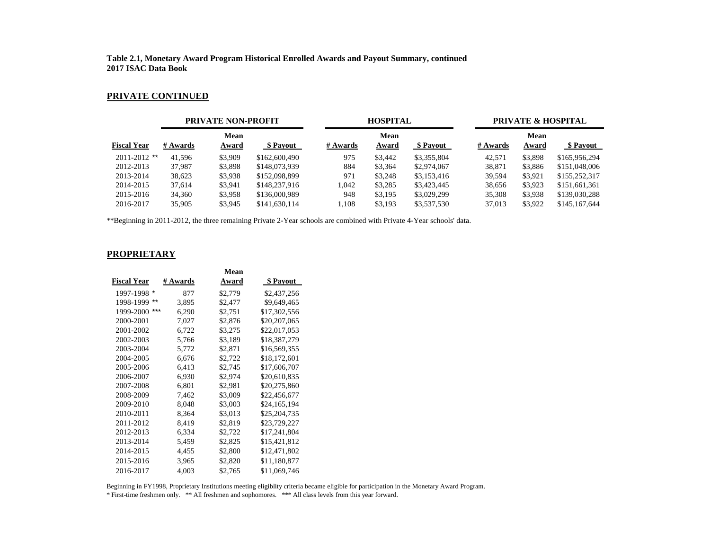#### **Table 2.1, Monetary Award Program Historical Enrolled Awards and Payout Summary, continued 2017 ISAC Data Book**

#### **PRIVATE CONTINUED**

|                    |                           | <b>PRIVATE NON-PROFIT</b> |               |          | <b>HOSPITAL</b> |             | <b>PRIVATE &amp; HOSPITAL</b> |               |               |  |
|--------------------|---------------------------|---------------------------|---------------|----------|-----------------|-------------|-------------------------------|---------------|---------------|--|
| <b>Fiscal Year</b> | Mean<br># Awards<br>Award |                           | \$ Pavout     | # Awards | Mean<br>Award   | \$ Payout   | # Awards                      | Mean<br>Award | \$ Payout     |  |
| $2011 - 2012$ **   | 41.596                    | \$3,909                   | \$162,600,490 | 975      | \$3,442         | \$3,355,804 | 42,571                        | \$3,898       | \$165,956,294 |  |
| 2012-2013          | 37.987                    | \$3,898                   | \$148,073,939 | 884      | \$3,364         | \$2,974,067 | 38,871                        | \$3,886       | \$151,048,006 |  |
| 2013-2014          | 38,623                    | \$3,938                   | \$152,098,899 | 971      | \$3,248         | \$3,153,416 | 39,594                        | \$3,921       | \$155,252,317 |  |
| 2014-2015          | 37.614                    | \$3.941                   | \$148,237,916 | .042     | \$3,285         | \$3,423,445 | 38.656                        | \$3,923       | \$151,661,361 |  |
| 2015-2016          | 34,360                    | \$3,958                   | \$136,000,989 | 948      | \$3,195         | \$3,029,299 | 35,308                        | \$3,938       | \$139,030,288 |  |
| 2016-2017          | 35,905                    | \$3,945                   | \$141,630,114 | ,108     | \$3,193         | \$3,537,530 | 37,013                        | \$3,922       | \$145,167,644 |  |

\*\*Beginning in 2011-2012, the three remaining Private 2-Year schools are combined with Private 4-Year schools' data.

### **PROPRIETARY**

|                    |          | Mean    |              |
|--------------------|----------|---------|--------------|
| Fiscal Year        | # Awards | Award   | \$ Payout    |
| *<br>1997-1998     | 877      | \$2,779 | \$2,437,256  |
| $***$<br>1998-1999 | 3,895    | \$2,477 | \$9,649,465  |
| ***<br>1999-2000   | 6,290    | \$2,751 | \$17,302,556 |
| 2000-2001          | 7,027    | \$2,876 | \$20,207,065 |
| 2001-2002          | 6,722    | \$3,275 | \$22,017,053 |
| 2002-2003          | 5,766    | \$3,189 | \$18,387,279 |
| 2003-2004          | 5,772    | \$2,871 | \$16,569,355 |
| 2004-2005          | 6,676    | \$2,722 | \$18,172,601 |
| 2005-2006          | 6,413    | \$2,745 | \$17,606,707 |
| 2006-2007          | 6,930    | \$2,974 | \$20,610,835 |
| 2007-2008          | 6,801    | \$2,981 | \$20,275,860 |
| 2008-2009          | 7,462    | \$3,009 | \$22,456,677 |
| 2009-2010          | 8,048    | \$3,003 | \$24,165,194 |
| 2010-2011          | 8,364    | \$3,013 | \$25,204,735 |
| 2011-2012          | 8,419    | \$2,819 | \$23,729,227 |
| 2012-2013          | 6,334    | \$2,722 | \$17,241,804 |
| 2013-2014          | 5,459    | \$2,825 | \$15,421,812 |
| 2014-2015          | 4,455    | \$2,800 | \$12,471,802 |
| 2015-2016          | 3,965    | \$2,820 | \$11,180,877 |
| 2016-2017          | 4,003    | \$2,765 | \$11,069,746 |
|                    |          |         |              |

Beginning in FY1998, Proprietary Institutions meeting eligiblity criteria became eligible for participation in the Monetary Award Program.

\* First-time freshmen only. \*\* All freshmen and sophomores. \*\*\* All class levels from this year forward.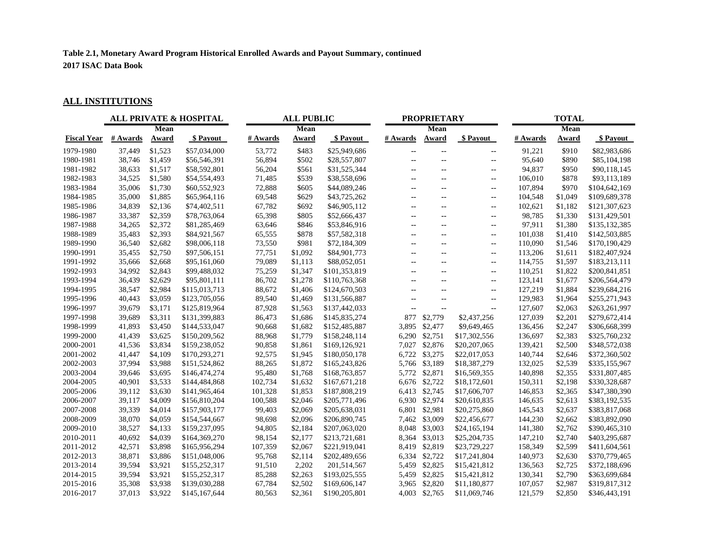# **Table 2.1, Monetary Award Program Historical Enrolled Awards and Payout Summary, continued 2017 ISAC Data Book**

# **ALL INSTITUTIONS**

|                    | <b>ALL PRIVATE &amp; HOSPITAL</b> |         | <b>ALL PUBLIC</b> |          |             | <b>PROPRIETARY</b> |                          |                          | <b>TOTAL</b>             |             |         |               |
|--------------------|-----------------------------------|---------|-------------------|----------|-------------|--------------------|--------------------------|--------------------------|--------------------------|-------------|---------|---------------|
|                    |                                   | Mean    |                   |          | <b>Mean</b> |                    |                          | <b>Mean</b>              |                          | <b>Mean</b> |         |               |
| <b>Fiscal Year</b> | # Awards                          | Award   | \$ Payout         | # Awards | Award       | \$ Payout          | # Awards                 | Award                    | \$ Payout                | # Awards    | Award   | \$ Payout     |
| 1979-1980          | 37,449                            | \$1,523 | \$57,034,000      | 53,772   | \$483       | \$25,949,686       | $\overline{\phantom{a}}$ | $\overline{\phantom{a}}$ | ۰.                       | 91,221      | \$910   | \$82,983,686  |
| 1980-1981          | 38,746                            | \$1,459 | \$56,546,391      | 56,894   | \$502       | \$28,557,807       | $\overline{\phantom{a}}$ | --                       | ۰.                       | 95,640      | \$890   | \$85,104,198  |
| 1981-1982          | 38,633                            | \$1,517 | \$58,592,801      | 56,204   | \$561       | \$31,525,344       | $\overline{\phantom{a}}$ | $\overline{\phantom{a}}$ | --                       | 94,837      | \$950   | \$90,118,145  |
| 1982-1983          | 34,525                            | \$1,580 | \$54,554,493      | 71,485   | \$539       | \$38,558,696       | $\overline{\phantom{a}}$ | ۰.                       | ۰.                       | 106,010     | \$878   | \$93,113,189  |
| 1983-1984          | 35,006                            | \$1,730 | \$60,552,923      | 72,888   | \$605       | \$44,089,246       | $\overline{\phantom{a}}$ | ۰.                       | ۰.                       | 107,894     | \$970   | \$104,642,169 |
| 1984-1985          | 35,000                            | \$1,885 | \$65,964,116      | 69,548   | \$629       | \$43,725,262       | $\overline{\phantom{a}}$ | $\overline{\phantom{a}}$ | ۰.                       | 104,548     | \$1,049 | \$109,689,378 |
| 1985-1986          | 34,839                            | \$2,136 | \$74,402,511      | 67,782   | \$692       | \$46,905,112       | $\overline{\phantom{a}}$ | --                       | --                       | 102,621     | \$1,182 | \$121,307,623 |
| 1986-1987          | 33,387                            | \$2,359 | \$78,763,064      | 65,398   | \$805       | \$52,666,437       | $\overline{\phantom{a}}$ | $- -$                    | $\overline{\phantom{a}}$ | 98,785      | \$1,330 | \$131,429,501 |
| 1987-1988          | 34,265                            | \$2,372 | \$81,285,469      | 63,646   | \$846       | \$53,846,916       | $\overline{\phantom{a}}$ | ۰.                       | ۰.                       | 97,911      | \$1,380 | \$135,132,385 |
| 1988-1989          | 35,483                            | \$2,393 | \$84,921,567      | 65,555   | \$878       | \$57,582,318       | $\overline{\phantom{a}}$ | --                       | ۰.                       | 101.038     | \$1,410 | \$142,503,885 |
| 1989-1990          | 36,540                            | \$2,682 | \$98,006,118      | 73,550   | \$981       | \$72,184,309       | $\overline{\phantom{a}}$ | $\sim$ $\sim$            | ۰.                       | 110,090     | \$1,546 | \$170,190,429 |
| 1990-1991          | 35,455                            | \$2,750 | \$97,506,151      | 77,751   | \$1,092     | \$84,901,773       | $\overline{\phantom{a}}$ | --                       | --                       | 113,206     | \$1,611 | \$182,407,924 |
| 1991-1992          | 35,666                            | \$2,668 | \$95,161,060      | 79,089   | \$1,113     | \$88,052,051       | $\overline{\phantom{a}}$ | --                       | ۰.                       | 114,755     | \$1,597 | \$183,213,111 |
| 1992-1993          | 34,992                            | \$2,843 | \$99,488,032      | 75,259   | \$1,347     | \$101,353,819      | $\overline{\phantom{a}}$ | ۰.                       | ۰.                       | 110,251     | \$1,822 | \$200,841,851 |
| 1993-1994          | 36,439                            | \$2,629 | \$95,801,111      | 86,702   | \$1,278     | \$110,763,368      | $\overline{\phantom{a}}$ | --                       | ۰.                       | 123,141     | \$1,677 | \$206,564,479 |
| 1994-1995          | 38,547                            | \$2,984 | \$115,013,713     | 88,672   | \$1,406     | \$124,670,503      | $\overline{\phantom{a}}$ | --                       | ۰.                       | 127,219     | \$1,884 | \$239,684,216 |
| 1995-1996          | 40,443                            | \$3,059 | \$123,705,056     | 89,540   | \$1,469     | \$131,566,887      | $\overline{\phantom{a}}$ | --                       | ۰.                       | 129,983     | \$1,964 | \$255,271,943 |
| 1996-1997          | 39,679                            | \$3,171 | \$125,819,964     | 87,928   | \$1,563     | \$137,442,033      | $\overline{\phantom{a}}$ | $\overline{\phantom{a}}$ | $\overline{\phantom{a}}$ | 127,607     | \$2,063 | \$263,261,997 |
| 1997-1998          | 39,689                            | \$3,311 | \$131,399,883     | 86,473   | \$1,686     | \$145,835,274      | 877                      | \$2,779                  | \$2,437,256              | 127,039     | \$2,201 | \$279,672,414 |
| 1998-1999          | 41,893                            | \$3,450 | \$144,533,047     | 90,668   | \$1,682     | \$152,485,887      | 3,895                    | \$2,477                  | \$9,649,465              | 136,456     | \$2,247 | \$306,668,399 |
| 1999-2000          | 41,439                            | \$3,625 | \$150,209,562     | 88,968   | \$1,779     | \$158,248,114      |                          | 6,290 \$2,751            | \$17,302,556             | 136,697     | \$2,383 | \$325,760,232 |
| 2000-2001          | 41,536                            | \$3,834 | \$159,238,052     | 90,858   | \$1,861     | \$169,126,921      |                          | 7,027 \$2,876            | \$20,207,065             | 139,421     | \$2,500 | \$348,572,038 |
| 2001-2002          | 41,447                            | \$4,109 | \$170,293,271     | 92,575   | \$1,945     | \$180,050,178      |                          | 6,722 \$3,275            | \$22,017,053             | 140,744     | \$2,646 | \$372,360,502 |
| 2002-2003          | 37,994                            | \$3,988 | \$151,524,862     | 88,265   | \$1,872     | \$165,243,826      |                          | 5,766 \$3,189            | \$18,387,279             | 132,025     | \$2,539 | \$335,155,967 |
| 2003-2004          | 39,646                            | \$3,695 | \$146,474,274     | 95,480   | \$1,768     | \$168,763,857      |                          | 5,772 \$2,871            | \$16,569,355             | 140,898     | \$2,355 | \$331,807,485 |
| 2004-2005          | 40,901                            | \$3,533 | \$144,484,868     | 102,734  | \$1,632     | \$167,671,218      |                          | 6,676 \$2,722            | \$18,172,601             | 150,311     | \$2,198 | \$330,328,687 |
| 2005-2006          | 39,112                            | \$3,630 | \$141,965,464     | 101,328  | \$1,853     | \$187,808,219      |                          | 6,413 \$2,745            | \$17,606,707             | 146,853     | \$2,365 | \$347,380,390 |
| 2006-2007          | 39,117                            | \$4,009 | \$156,810,204     | 100,588  | \$2,046     | \$205,771,496      |                          | 6,930 \$2,974            | \$20,610,835             | 146,635     | \$2.613 | \$383,192,535 |
| 2007-2008          | 39,339                            | \$4,014 | \$157,903,177     | 99,403   | \$2,069     | \$205,638,031      | 6,801                    | \$2,981                  | \$20,275,860             | 145,543     | \$2,637 | \$383,817,068 |
| 2008-2009          | 38,070                            | \$4,059 | \$154,544,667     | 98,698   | \$2,096     | \$206,890,745      |                          | 7,462 \$3,009            | \$22,456,677             | 144,230     | \$2,662 | \$383,892,090 |
| 2009-2010          | 38,527                            | \$4,133 | \$159,237,095     | 94,805   | \$2,184     | \$207,063,020      |                          | 8,048 \$3,003            | \$24,165,194             | 141,380     | \$2,762 | \$390,465,310 |
| 2010-2011          | 40,692                            | \$4,039 | \$164,369,270     | 98,154   | \$2,177     | \$213,721,681      |                          | 8,364 \$3,013            | \$25,204,735             | 147,210     | \$2,740 | \$403,295,687 |
| 2011-2012          | 42,571                            | \$3,898 | \$165,956,294     | 107,359  | \$2,067     | \$221,919,041      |                          | 8,419 \$2,819            | \$23,729,227             | 158,349     | \$2,599 | \$411,604,561 |
| 2012-2013          | 38,871                            | \$3,886 | \$151,048,006     | 95,768   | \$2,114     | \$202,489,656      | 6,334                    | \$2,722                  | \$17,241,804             | 140,973     | \$2,630 | \$370,779,465 |
| 2013-2014          | 39,594                            | \$3,921 | \$155,252,317     | 91,510   | 2,202       | 201,514,567        | 5,459                    | \$2,825                  | \$15,421,812             | 136,563     | \$2,725 | \$372,188,696 |
| 2014-2015          | 39,594                            | \$3,921 | \$155,252,317     | 85,288   | \$2,263     | \$193,025,555      | 5,459                    | \$2,825                  | \$15,421,812             | 130,341     | \$2,790 | \$363,699,684 |
| 2015-2016          | 35,308                            | \$3,938 | \$139,030,288     | 67,784   | \$2,502     | \$169,606,147      | 3,965                    | \$2,820                  | \$11,180,877             | 107,057     | \$2,987 | \$319,817,312 |
| 2016-2017          | 37,013                            | \$3,922 | \$145,167,644     | 80,563   | \$2,361     | \$190,205,801      |                          | 4,003 \$2,765            | \$11,069,746             | 121,579     | \$2,850 | \$346,443,191 |